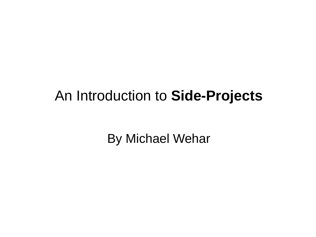#### An Introduction to **Side-Projects**

By Michael Wehar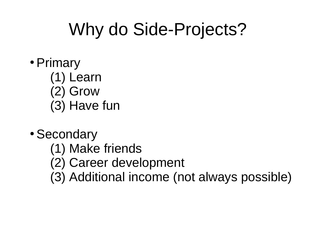## Why do Side-Projects?

- Primary
	- (1) Learn (2) Grow
	- (3) Have fun
- Secondary
	- (1) Make friends
	- (2) Career development
	- (3) Additional income (not always possible)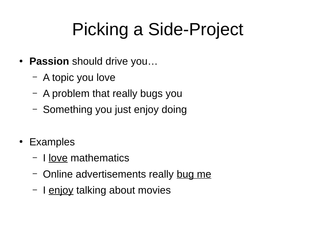# Picking a Side-Project

- **Passion** should drive you...
	- A topic you love
	- A problem that really bugs you
	- Something you just enjoy doing
- Examples
	- I love mathematics
	- Online advertisements really bug me
	- I enjoy talking about movies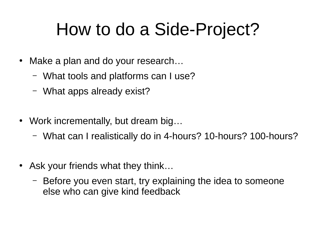## How to do a Side-Project?

- Make a plan and do your research...
	- What tools and platforms can I use?
	- What apps already exist?
- Work incrementally, but dream big...
	- What can I realistically do in 4-hours? 10-hours? 100-hours?
- Ask your friends what they think...
	- Before you even start, try explaining the idea to someone else who can give kind feedback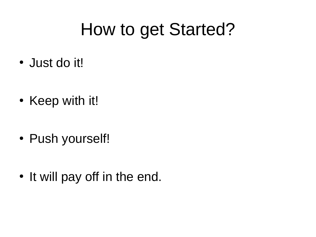#### How to get Started?

- Just do it!
- Keep with it!
- Push yourself!
- It will pay off in the end.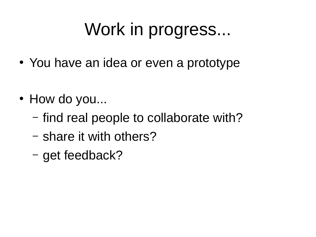## Work in progress...

- You have an idea or even a prototype
- How do you...
	- find real people to collaborate with?
	- share it with others?
	- get feedback?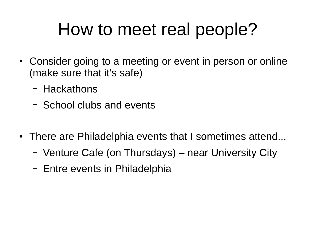#### How to meet real people?

- Consider going to a meeting or event in person or online (make sure that it's safe)
	- Hackathons
	- School clubs and events
- There are Philadelphia events that I sometimes attend...
	- Venture Cafe (on Thursdays) near University City
	- Entre events in Philadelphia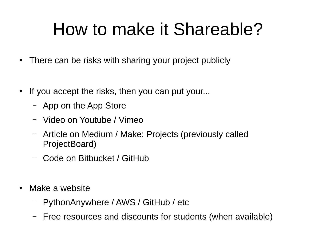## How to make it Shareable?

- There can be risks with sharing your project publicly
- If you accept the risks, then you can put your...
	- App on the App Store
	- Video on Youtube / Vimeo
	- Article on Medium / Make: Projects (previously called ProjectBoard)
	- Code on Bitbucket / GitHub
- Make a website
	- PythonAnywhere / AWS / GitHub / etc
	- Free resources and discounts for students (when available)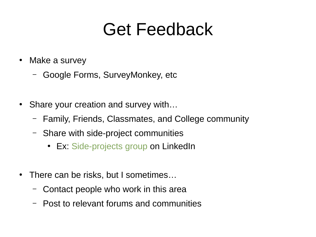#### Get Feedback

- Make a survey
	- Google Forms, SurveyMonkey, etc
- Share your creation and survey with...
	- Family, Friends, Classmates, and College community
	- Share with side-project communities
		- Ex: [Side-projects group](https://www.linkedin.com/groups/13568032/) on LinkedIn
- There can be risks, but I sometimes...
	- Contact people who work in this area
	- Post to relevant forums and communities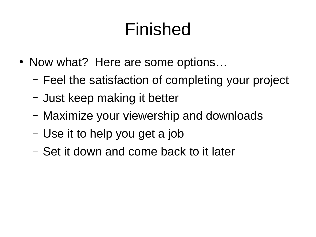## Finished

- Now what? Here are some options...
	- Feel the satisfaction of completing your project
	- Just keep making it better
	- Maximize your viewership and downloads
	- Use it to help you get a job
	- Set it down and come back to it later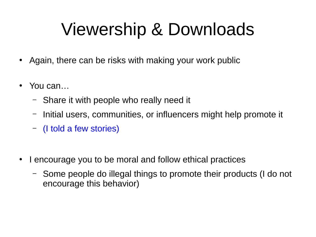## Viewership & Downloads

- Again, there can be risks with making your work public
- You can…
	- Share it with people who really need it
	- Initial users, communities, or influencers might help promote it
	- (I told a few stories)
- I encourage you to be moral and follow ethical practices
	- Some people do illegal things to promote their products (I do not encourage this behavior)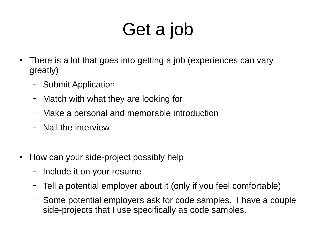# Get a job

- There is a lot that goes into getting a job (experiences can vary greatly)
	- Submit Application
	- Match with what they are looking for
	- Make a personal and memorable introduction
	- Nail the interview
- How can your side-project possibly help
	- Include it on your resume
	- Tell a potential employer about it (only if you feel comfortable)
	- Some potential employers ask for code samples. I have a couple side-projects that I use specifically as code samples.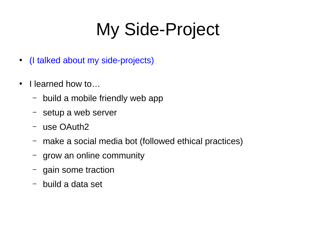## My Side-Project

- (I talked about my side-projects)
- I learned how to...
	- build a mobile friendly web app
	- setup a web server
	- use OAuth2
	- make a social media bot (followed ethical practices)
	- grow an online community
	- gain some traction
	- build a data set